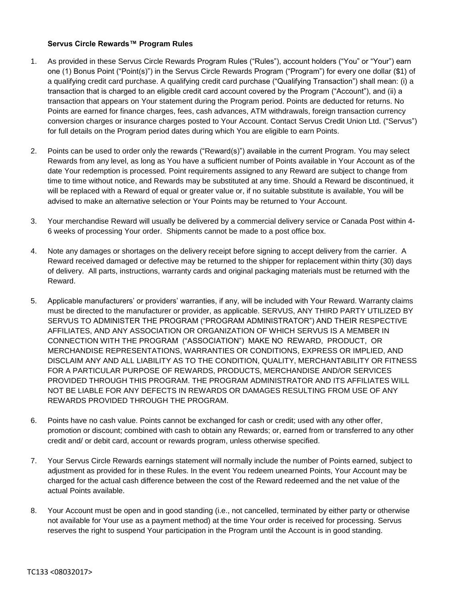## **Servus Circle Rewards™ Program Rules**

- 1. As provided in these Servus Circle Rewards Program Rules ("Rules"), account holders ("You" or "Your") earn one (1) Bonus Point ("Point(s)") in the Servus Circle Rewards Program ("Program") for every one dollar (\$1) of a qualifying credit card purchase. A qualifying credit card purchase ("Qualifying Transaction") shall mean: (i) a transaction that is charged to an eligible credit card account covered by the Program ("Account"), and (ii) a transaction that appears on Your statement during the Program period. Points are deducted for returns. No Points are earned for finance charges, fees, cash advances, ATM withdrawals, foreign transaction currency conversion charges or insurance charges posted to Your Account. Contact Servus Credit Union Ltd. ("Servus") for full details on the Program period dates during which You are eligible to earn Points.
- 2. Points can be used to order only the rewards ("Reward(s)") available in the current Program. You may select Rewards from any level, as long as You have a sufficient number of Points available in Your Account as of the date Your redemption is processed. Point requirements assigned to any Reward are subject to change from time to time without notice, and Rewards may be substituted at any time. Should a Reward be discontinued, it will be replaced with a Reward of equal or greater value or, if no suitable substitute is available, You will be advised to make an alternative selection or Your Points may be returned to Your Account.
- 3. Your merchandise Reward will usually be delivered by a commercial delivery service or Canada Post within 4- 6 weeks of processing Your order. Shipments cannot be made to a post office box.
- 4. Note any damages or shortages on the delivery receipt before signing to accept delivery from the carrier. A Reward received damaged or defective may be returned to the shipper for replacement within thirty (30) days of delivery. All parts, instructions, warranty cards and original packaging materials must be returned with the Reward.
- 5. Applicable manufacturers' or providers' warranties, if any, will be included with Your Reward. Warranty claims must be directed to the manufacturer or provider, as applicable. SERVUS, ANY THIRD PARTY UTILIZED BY SERVUS TO ADMINISTER THE PROGRAM ("PROGRAM ADMINISTRATOR") AND THEIR RESPECTIVE AFFILIATES, AND ANY ASSOCIATION OR ORGANIZATION OF WHICH SERVUS IS A MEMBER IN CONNECTION WITH THE PROGRAM ("ASSOCIATION") MAKE NO REWARD, PRODUCT, OR MERCHANDISE REPRESENTATIONS, WARRANTIES OR CONDITIONS, EXPRESS OR IMPLIED, AND DISCLAIM ANY AND ALL LIABILITY AS TO THE CONDITION, QUALITY, MERCHANTABILITY OR FITNESS FOR A PARTICULAR PURPOSE OF REWARDS, PRODUCTS, MERCHANDISE AND/OR SERVICES PROVIDED THROUGH THIS PROGRAM. THE PROGRAM ADMINISTRATOR AND ITS AFFILIATES WILL NOT BE LIABLE FOR ANY DEFECTS IN REWARDS OR DAMAGES RESULTING FROM USE OF ANY REWARDS PROVIDED THROUGH THE PROGRAM.
- 6. Points have no cash value. Points cannot be exchanged for cash or credit; used with any other offer, promotion or discount; combined with cash to obtain any Rewards; or, earned from or transferred to any other credit and/ or debit card, account or rewards program, unless otherwise specified.
- 7. Your Servus Circle Rewards earnings statement will normally include the number of Points earned, subject to adjustment as provided for in these Rules. In the event You redeem unearned Points, Your Account may be charged for the actual cash difference between the cost of the Reward redeemed and the net value of the actual Points available.
- 8. Your Account must be open and in good standing (i.e., not cancelled, terminated by either party or otherwise not available for Your use as a payment method) at the time Your order is received for processing. Servus reserves the right to suspend Your participation in the Program until the Account is in good standing.